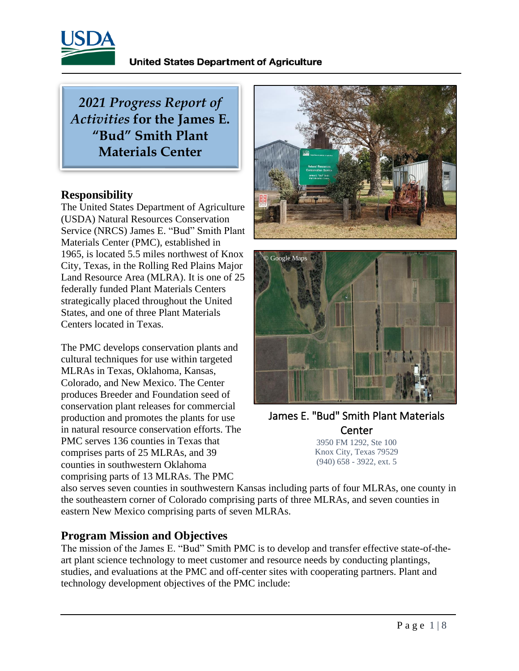

*2021 Progress Report of Activities* **for the James E. "Bud" Smith Plant Materials Center** 

#### **Responsibility**

The United States Department of Agriculture (USDA) Natural Resources Conservation Service (NRCS) James E. "Bud" Smith Plant Materials Center (PMC), established in 1965, is located 5.5 miles northwest of Knox City, Texas, in the Rolling Red Plains Major Land Resource Area (MLRA). It is one of 25 federally funded Plant Materials Centers strategically placed throughout the United States, and one of three Plant Materials Centers located in Texas.

The PMC develops conservation plants and cultural techniques for use within targeted MLRAs in Texas, Oklahoma, Kansas, Colorado, and New Mexico. The Center produces Breeder and Foundation seed of conservation plant releases for commercial production and promotes the plants for use in natural resource conservation efforts. The PMC serves 136 counties in Texas that comprises parts of 25 MLRAs, and 39 counties in southwestern Oklahoma comprising parts of 13 MLRAs. The PMC





James E. "Bud" Smith Plant Materials **Center** 3950 FM 1292, Ste 100

Knox City, Texas 79529 (940) 658 - 3922, ext. 5

also serves seven counties in southwestern Kansas including parts of four MLRAs, one county in the southeastern corner of Colorado comprising parts of three MLRAs, and seven counties in eastern New Mexico comprising parts of seven MLRAs.

### **Program Mission and Objectives**

The mission of the James E. "Bud" Smith PMC is to develop and transfer effective state-of-theart plant science technology to meet customer and resource needs by conducting plantings, studies, and evaluations at the PMC and off-center sites with cooperating partners. Plant and technology development objectives of the PMC include: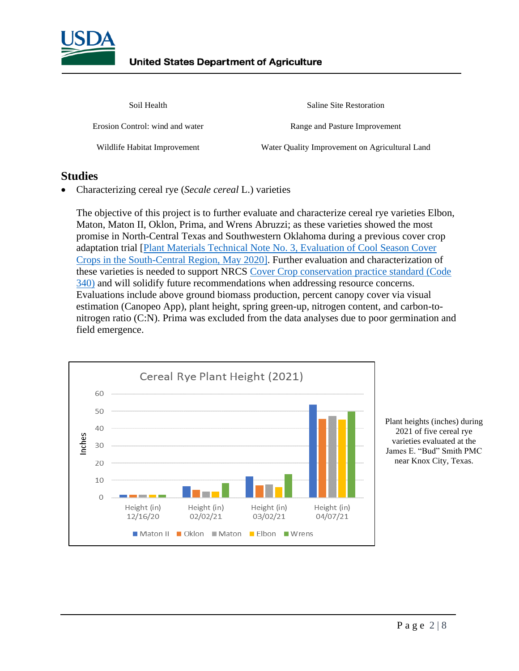

Saline Site Restoration

Erosion Control: wind and water Range and Pasture Improvement

Wildlife Habitat Improvement Water Quality Improvement on Agricultural Land

#### **Studies**

• Characterizing cereal rye (*Secale cereal* L.) varieties

The objective of this project is to further evaluate and characterize cereal rye varieties Elbon, Maton, Maton II, Oklon, Prima, and Wrens Abruzzi; as these varieties showed the most promise in North-Central Texas and Southwestern Oklahoma during a previous cover crop adaptation trial [\[Plant Materials Technical Note No. 3, Evaluation of Cool Season Cover](https://www.nrcs.usda.gov/Internet/FSE_DOCUMENTS/stelprdb1263176.pdf) [Crops in the South-Central Region, May 2020\].](https://www.nrcs.usda.gov/Internet/FSE_DOCUMENTS/stelprdb1263176.pdf) Further evaluation and characterization of these varieties is needed to support NRCS [Cover Crop conservation practice standard \(Code](https://www.nrcs.usda.gov/Internet/FSE_DOCUMENTS/stelprdb1263176.pdf) [340\)](https://www.nrcs.usda.gov/Internet/FSE_DOCUMENTS/stelprdb1263176.pdf) and will solidify future recommendations when addressing resource concerns. Evaluations include above ground biomass production, percent canopy cover via visual estimation (Canopeo App), plant height, spring green-up, nitrogen content, and carbon-tonitrogen ratio (C:N). Prima was excluded from the data analyses due to poor germination and field emergence.



Plant heights (inches) during 2021 of five cereal rye varieties evaluated at the James E. "Bud" Smith PMC near Knox City, Texas.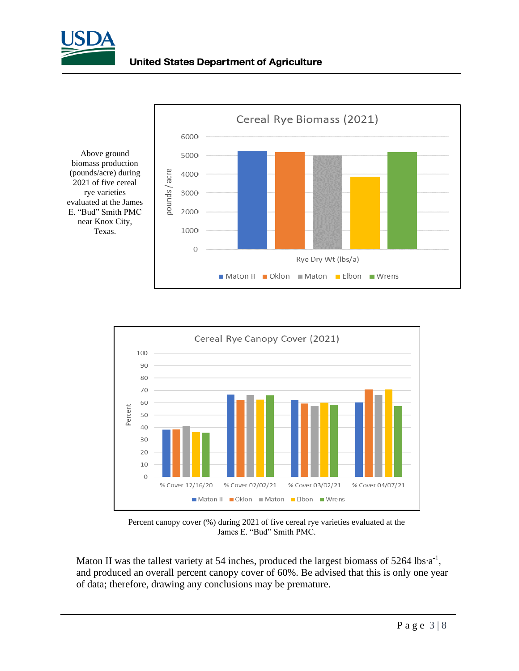





Percent canopy cover (%) during 2021 of five cereal rye varieties evaluated at the James E. "Bud" Smith PMC.

Maton II was the tallest variety at 54 inches, produced the largest biomass of 5264 lbs⋅a<sup>-1</sup>, and produced an overall percent canopy cover of 60%. Be advised that this is only one year of data; therefore, drawing any conclusions may be premature.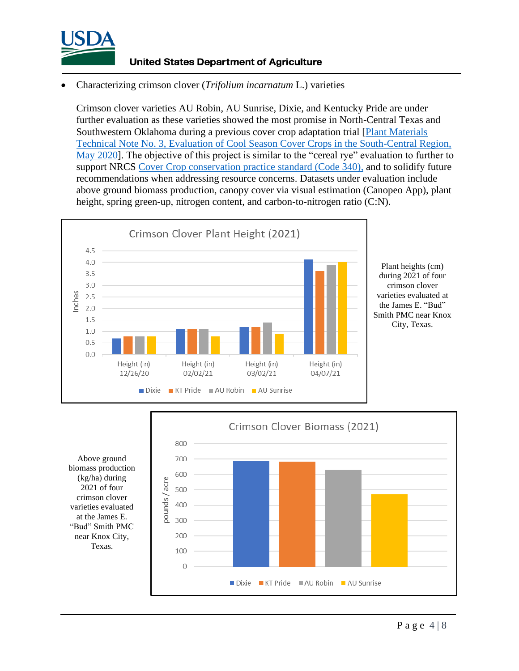

#### • Characterizing crimson clover (*Trifolium incarnatum* L.) varieties

Crimson clover varieties AU Robin, AU Sunrise, Dixie, and Kentucky Pride are under further evaluation as these varieties showed the most promise in North-Central Texas and Southwestern Oklahoma during a previous cover crop adaptation trial [\[Plant Materials](https://www.nrcs.usda.gov/Internet/FSE_PLANTMATERIALS/publications/natpmtn13591.pdf)  [Technical Note No. 3, Evaluation of Cool Season Cover Crops in the South-Central Region,](https://www.nrcs.usda.gov/Internet/FSE_PLANTMATERIALS/publications/natpmtn13591.pdf)  [May 2020\]](https://www.nrcs.usda.gov/Internet/FSE_PLANTMATERIALS/publications/natpmtn13591.pdf). The objective of this project is similar to the "cereal rye" evaluation to further to support NRCS [Cover Crop conservation practice standard \(Code 340\),](https://www.nrcs.usda.gov/Internet/FSE_DOCUMENTS/stelprdb1263176.pdf) and to solidify future recommendations when addressing resource concerns. Datasets under evaluation include above ground biomass production, canopy cover via visual estimation (Canopeo App), plant height, spring green-up, nitrogen content, and carbon-to-nitrogen ratio (C:N).



Plant heights (cm) during 2021 of four crimson clover varieties evaluated at the James E. "Bud" Smith PMC near Knox City, Texas.

Above ground biomass production (kg/ha) during 2021 of four crimson clover varieties evaluated at the James E. "Bud" Smith PMC near Knox City, Texas.

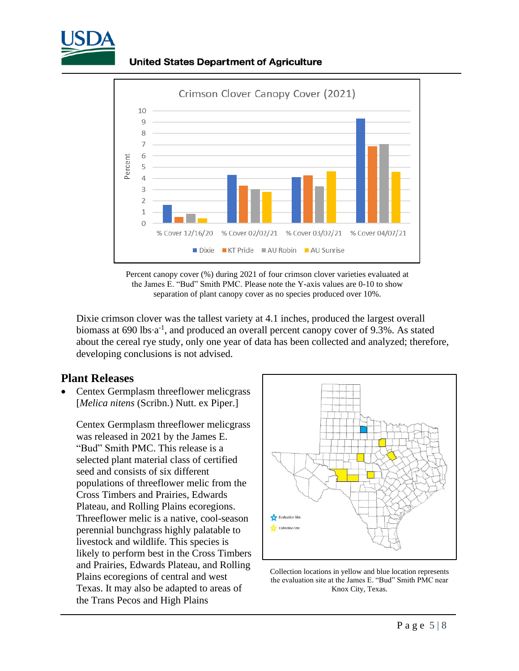

**United States Department of Agriculture** 





Dixie crimson clover was the tallest variety at 4.1 inches, produced the largest overall biomass at 690 lbs∙a<sup>-1</sup>, and produced an overall percent canopy cover of 9.3%. As stated about the cereal rye study, only one year of data has been collected and analyzed; therefore, developing conclusions is not advised.

#### **Plant Releases**

• Centex Germplasm threeflower melicgrass [*Melica nitens* (Scribn.) Nutt. ex Piper.]

Centex Germplasm threeflower melicgrass was released in 2021 by the James E. "Bud" Smith PMC. This release is a selected plant material class of certified seed and consists of six different populations of threeflower melic from the Cross Timbers and Prairies, Edwards Plateau, and Rolling Plains ecoregions. Threeflower melic is a native, cool-season perennial bunchgrass highly palatable to livestock and wildlife. This species is likely to perform best in the Cross Timbers and Prairies, Edwards Plateau, and Rolling Plains ecoregions of central and west Texas. It may also be adapted to areas of the Trans Pecos and High Plains



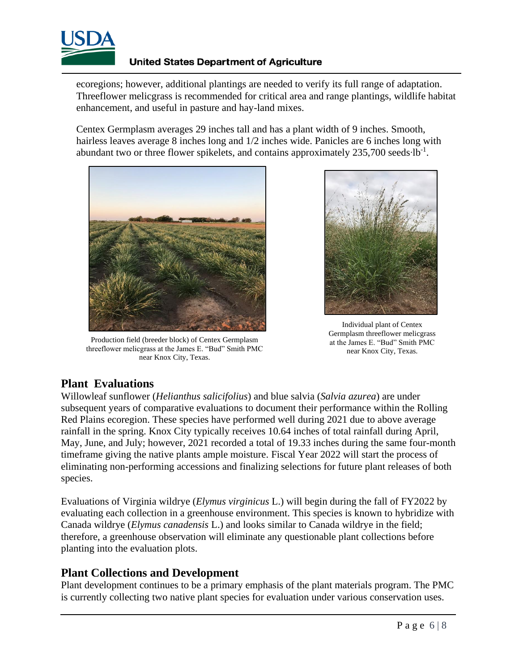

#### **United States Department of Agriculture**

ecoregions; however, additional plantings are needed to verify its full range of adaptation. Threeflower melicgrass is recommended for critical area and range plantings, wildlife habitat enhancement, and useful in pasture and hay-land mixes.

Centex Germplasm averages 29 inches tall and has a plant width of 9 inches. Smooth, hairless leaves average 8 inches long and 1/2 inches wide. Panicles are 6 inches long with abundant two or three flower spikelets, and contains approximately 235,700 seeds∙lb<sup>-1</sup>.



Production field (breeder block) of Centex Germplasm threeflower melicgrass at the James E. "Bud" Smith PMC near Knox City, Texas.



Individual plant of Centex Germplasm threeflower melicgrass at the James E. "Bud" Smith PMC near Knox City, Texas.

### **Plant Evaluations**

Willowleaf sunflower (*Helianthus salicifolius*) and blue salvia (*Salvia azurea*) are under subsequent years of comparative evaluations to document their performance within the Rolling Red Plains ecoregion. These species have performed well during 2021 due to above average rainfall in the spring. Knox City typically receives 10.64 inches of total rainfall during April, May, June, and July; however, 2021 recorded a total of 19.33 inches during the same four-month timeframe giving the native plants ample moisture. Fiscal Year 2022 will start the process of eliminating non-performing accessions and finalizing selections for future plant releases of both species.

Evaluations of Virginia wildrye (*Elymus virginicus* L.) will begin during the fall of FY2022 by evaluating each collection in a greenhouse environment. This species is known to hybridize with Canada wildrye (*Elymus canadensis* L.) and looks similar to Canada wildrye in the field; therefore, a greenhouse observation will eliminate any questionable plant collections before planting into the evaluation plots.

#### **Plant Collections and Development**

Plant development continues to be a primary emphasis of the plant materials program. The PMC is currently collecting two native plant species for evaluation under various conservation uses.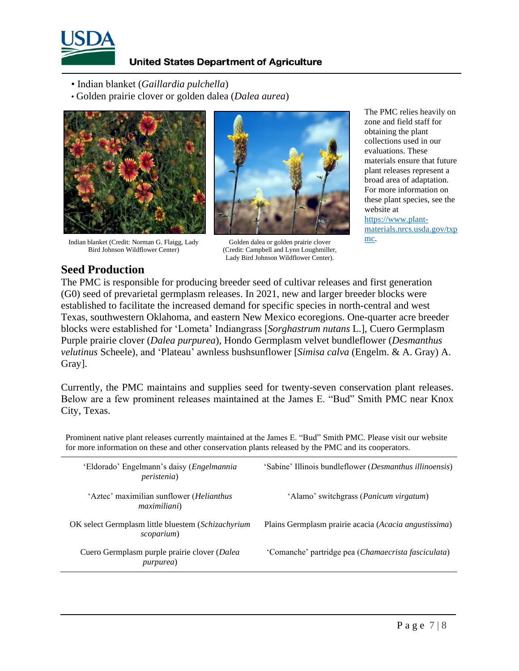

#### **United States Department of Agriculture**

- Indian blanket (*Gaillardia pulchella*)
- Golden prairie clover or golden dalea (*Dalea aurea*)



Indian blanket (Credit: Norman G. Flaigg, Lady Bird Johnson Wildflower Center)



Golden dalea or golden prairie clover (Credit: Campbell and Lynn Loughmiller, Lady Bird Johnson Wildflower Center).

The PMC relies heavily on zone and field staff for obtaining the plant collections used in our evaluations. These materials ensure that future plant releases represent a broad area of adaptation. For more information on these plant species, see the website at [https://www.plant](https://www.plant-materials.nrcs.usda.gov/txpmc)[materials.nrcs.usda.gov/txp](https://www.plant-materials.nrcs.usda.gov/txpmc) [mc.](https://www.plant-materials.nrcs.usda.gov/txpmc) 

## **Seed Production**

The PMC is responsible for producing breeder seed of cultivar releases and first generation (G0) seed of prevarietal germplasm releases. In 2021, new and larger breeder blocks were established to facilitate the increased demand for specific species in north-central and west Texas, southwestern Oklahoma, and eastern New Mexico ecoregions. One-quarter acre breeder blocks were established for 'Lometa' Indiangrass [*Sorghastrum nutans* L.], Cuero Germplasm Purple prairie clover (*Dalea purpurea*), Hondo Germplasm velvet bundleflower (*Desmanthus velutinus* Scheele), and 'Plateau' awnless bushsunflower [*Simisa calva* (Engelm. & A. Gray) A. Gray].

Currently, the PMC maintains and supplies seed for twenty-seven conservation plant releases. Below are a few prominent releases maintained at the James E. "Bud" Smith PMC near Knox City, Texas.

Prominent native plant releases currently maintained at the James E. "Bud" Smith PMC. Please visit our website for more information on these and [other conservation plants](https://www.nrcs.usda.gov/wps/portal/nrcs/pmreleases/plantmaterials/pmc/central/txpmc/cp/) released by the PMC and its cooperators.

| 'Eldorado' Engelmann's daisy (Engelmannia<br><i>peristenia</i> )         | 'Sabine' Illinois bundleflower ( <i>Desmanthus illinoensis</i> ) |
|--------------------------------------------------------------------------|------------------------------------------------------------------|
| 'Aztec' maximilian sunflower ( <i>Helianthus</i><br><i>maximiliani</i> ) | 'Alamo' switchgrass ( <i>Panicum virgatum</i> )                  |
| OK select Germplasm little bluestem (Schizachyrium<br>scoparium)         | Plains Germplasm prairie acacia (Acacia angustissima)            |
| Cuero Germplasm purple prairie clover (Dalea<br><i>purpurea</i> )        | 'Comanche' partridge pea (Chamaecrista fasciculata)              |